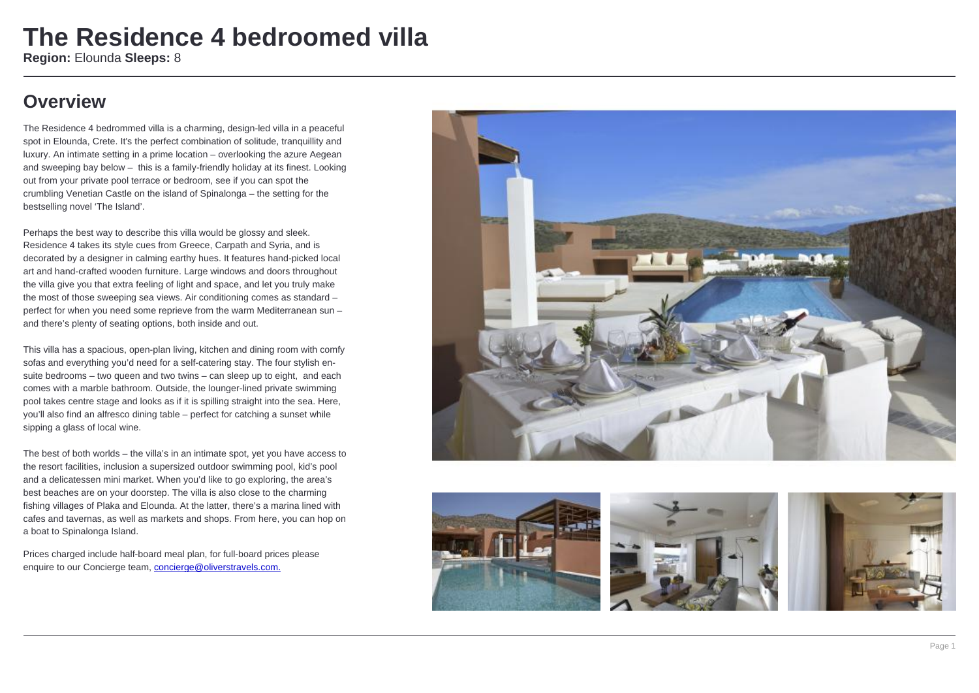# The Residence 4 bedroomed villa

Region: Elounda Sleeps: 8

### **Overview**

The Residence 4 bedrommed villa is a charming, design-led villa in a peaceful spot in Elounda, Crete. It's the perfect combination of solitude, tranquillity and luxury. An intimate setting in a prime location – overlooking the azure Aegean and sweeping bay below – this is a family-friendly holiday at its finest. Looking out from your private pool terrace or bedroom, see if you can spot the crumbling Venetian Castle on the island of Spinalonga – the setting for the bestselling novel 'The Island'.

Perhaps the best way to describe this villa would be glossy and sleek. Residence 4 takes its style cues from Greece, Carpath and Syria, and is decorated by a designer in calming earthy hues. It features hand-picked local art and hand-crafted wooden furniture. Large windows and doors throughout the villa give you that extra feeling of light and space, and let you truly make the most of those sweeping sea views. Air conditioning comes as standard – perfect for when you need some reprieve from the warm Mediterranean sun – and there's plenty of seating options, both inside and out.

This villa has a spacious, open-plan living, kitchen and dining room with comfy sofas and everything you'd need for a self-catering stay. The four stylish ensuite bedrooms – two queen and two twins – can sleep up to eight, and each comes with a marble bathroom. Outside, the lounger-lined private swimming pool takes centre stage and looks as if it is spilling straight into the sea. Here, you'll also find an alfresco dining table – perfect for catching a sunset while sipping a glass of local wine.

The best of both worlds – the villa's in an intimate spot, yet you have access to the resort facilities, inclusion a supersized outdoor swimming pool, kid's pool and a delicatessen mini market. When you'd like to go exploring, the area's best beaches are on your doorstep. The villa is also close to the charming fishing villages of Plaka and Elounda. At the latter, there's a marina lined with cafes and tavernas, as well as markets and shops. From here, you can hop on a boat to Spinalonga Island.

Prices charged include half-board meal plan, for full-board prices please enquire to our Concierge team, concierge@oliverstravels.com.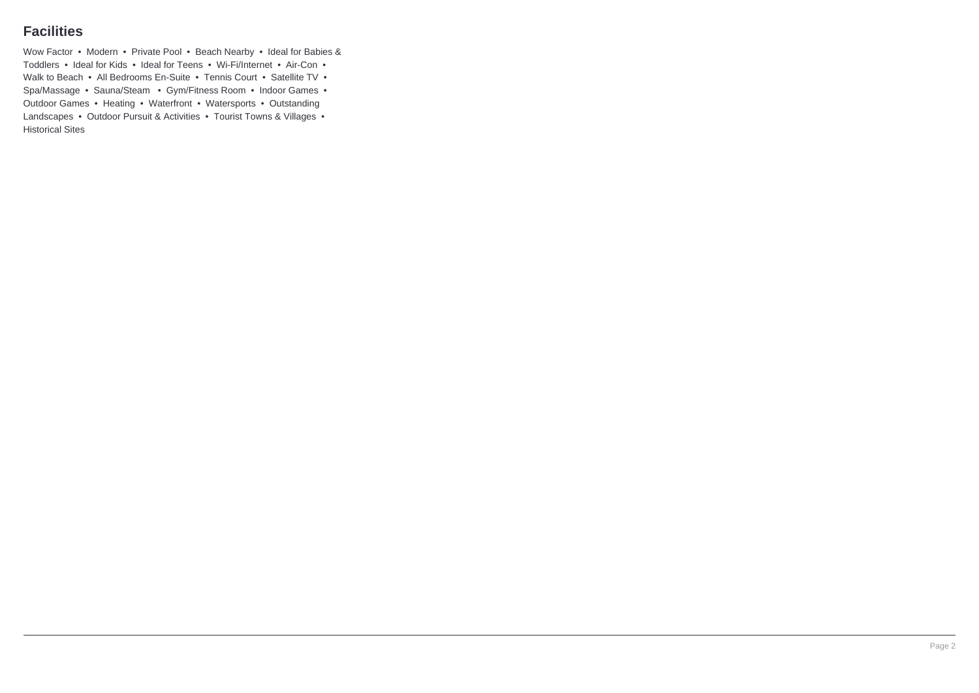### **Facilities**

Wow Factor • Modern • Private Pool • Beach Nearby • Ideal for Babies & Toddlers • Ideal for Kids • Ideal for Teens • Wi-Fi/Internet • Air-Con • Walk to Beach • All Bedrooms En-Suite • Tennis Court • Satellite TV • Spa/Massage • Sauna/Steam • Gym/Fitness Room • Indoor Games • Outdoor Games • Heating • Waterfront • Watersports • Outstanding Landscapes • Outdoor Pursuit & Activities • Tourist Towns & Villages • Historical Sites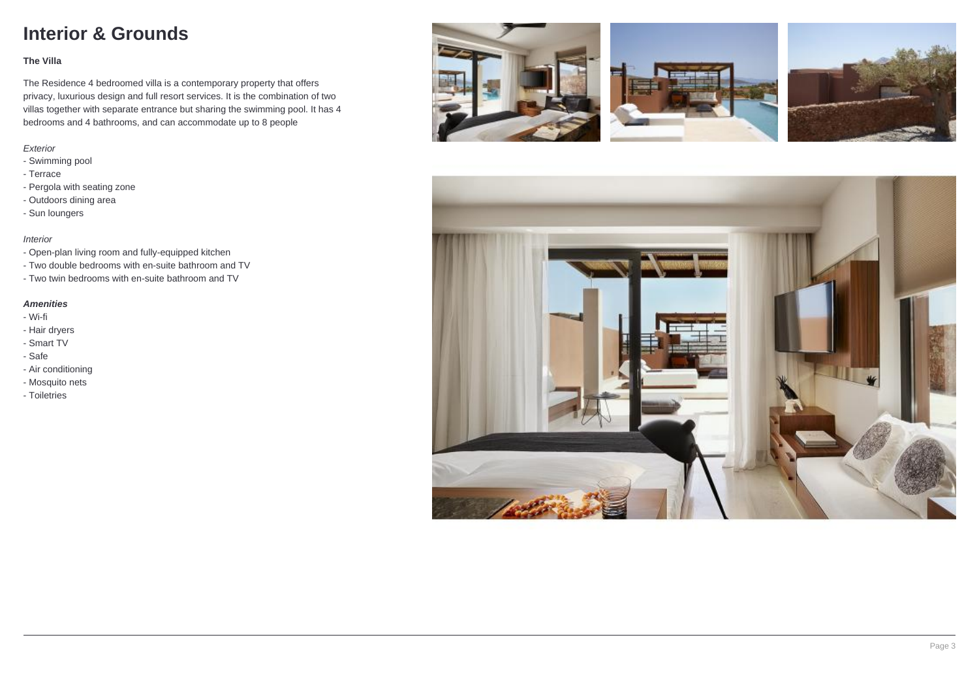### **Interior & Grounds**

#### **The Villa**

The Residence 4 bedroomed villa is a contemporary property that offers privacy, luxurious design and full resort services. It is the combination of two villas together with separate entrance but sharing the swimming pool. It has 4 bedrooms and 4 bathrooms, and can accommodate up to 8 people

#### Exterior

- Swimming pool
- Terrace
- Pergola with seating zone
- Outdoors dining area
- Sun loungers

#### Interior

- Open-plan living room and fully-equipped kitchen
- Two double bedrooms with en-suite bathroom and TV
- Two twin bedrooms with en-suite bathroom and TV

#### **Amenities**

- Wi-fi
- Hair dryers
- Smart TV
- Safe
- Air conditioning
- Mosquito nets
- Toiletries







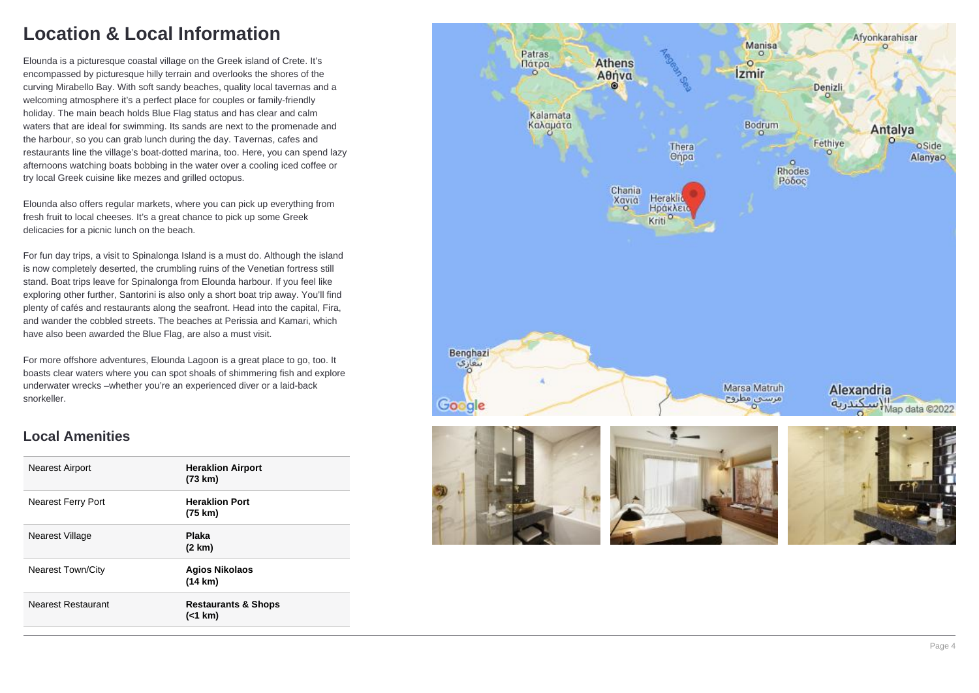### **Location & Local Information**

Elounda is a picturesque coastal village on the Greek island of Crete. It's encompassed by picturesque hilly terrain and overlooks the shores of the curving Mirabello Bay. With soft sandy beaches, quality local tavernas and a welcoming atmosphere it's a perfect place for couples or family-friendly holiday. The main beach holds Blue Flag status and has clear and calm waters that are ideal for swimming. Its sands are next to the promenade and the harbour, so you can grab lunch during the day. Tavernas, cafes and restaurants line the village's boat-dotted marina, too. Here, you can spend lazy afternoons watching boats bobbing in the water over a cooling iced coffee or try local Greek cuisine like mezes and grilled octopus.

Elounda also offers regular markets, where you can pick up everything from fresh fruit to local cheeses. It's a great chance to pick up some Greek delicacies for a picnic lunch on the beach.

For fun day trips, a visit to Spinalonga Island is a must do. Although the island is now completely deserted, the crumbling ruins of the Venetian fortress still stand. Boat trips leave for Spinalonga from Elounda harbour. If you feel like exploring other further, Santorini is also only a short boat trip away. You'll find plenty of cafés and restaurants along the seafront. Head into the capital, Fira, and wander the cobbled streets. The beaches at Perissia and Kamari, which have also been awarded the Blue Flag, are also a must visit.

For more offshore adventures, Elounda Lagoon is a great place to go, too. It boasts clear waters where you can spot shoals of shimmering fish and explore underwater wrecks –whether you're an experienced diver or a laid-back snorkeller.

### **Local Amenities**

| <b>Nearest Airport</b>    | <b>Heraklion Airport</b><br>(73 km)        |
|---------------------------|--------------------------------------------|
| <b>Nearest Ferry Port</b> | <b>Heraklion Port</b><br>(75 km)           |
| Nearest Village           | <b>Plaka</b><br>(2 km)                     |
| <b>Nearest Town/City</b>  | <b>Agios Nikolaos</b><br>(14 km)           |
| <b>Nearest Restaurant</b> | <b>Restaurants &amp; Shops</b><br>(< 1 km) |
|                           |                                            |

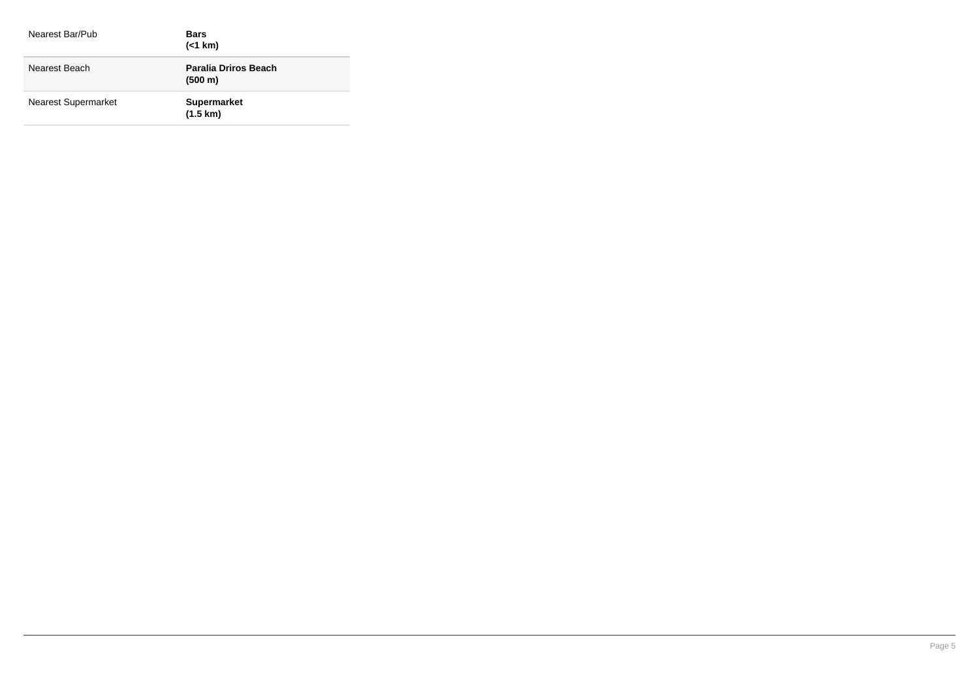| Nearest Bar/Pub     | Bars<br>(< 1 km)                         |
|---------------------|------------------------------------------|
| Nearest Beach       | Paralia Driros Beach<br>(500 m)          |
| Nearest Supermarket | <b>Supermarket</b><br>$(1.5 \text{ km})$ |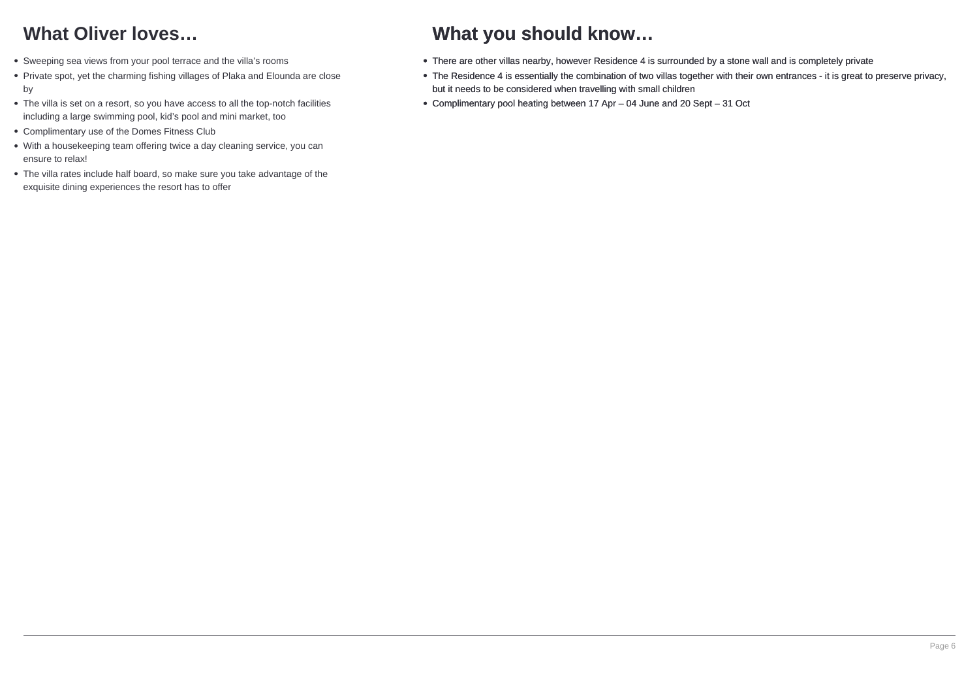## **What Oliver loves…**

- Sweeping sea views from your pool terrace and the villa's rooms
- Private spot, yet the charming fishing villages of Plaka and Elounda are close by
- The villa is set on a resort, so you have access to all the top-notch facilities including a large swimming pool, kid's pool and mini market, too
- Complimentary use of the Domes Fitness Club
- With a housekeeping team offering twice a day cleaning service, you can ensure to relax!
- The villa rates include half board, so make sure you take advantage of the exquisite dining experiences the resort has to offer

### **What you should know…**

- There are other villas nearby, however Residence 4 is surrounded by a stone wall and is completely private
- The Residence 4 is essentially the combination of two villas together with their own entrances it is great to preserve privacy, but it needs to be considered when travelling with small children
- Complimentary pool heating between 17 Apr 04 June and 20 Sept 31 Oct